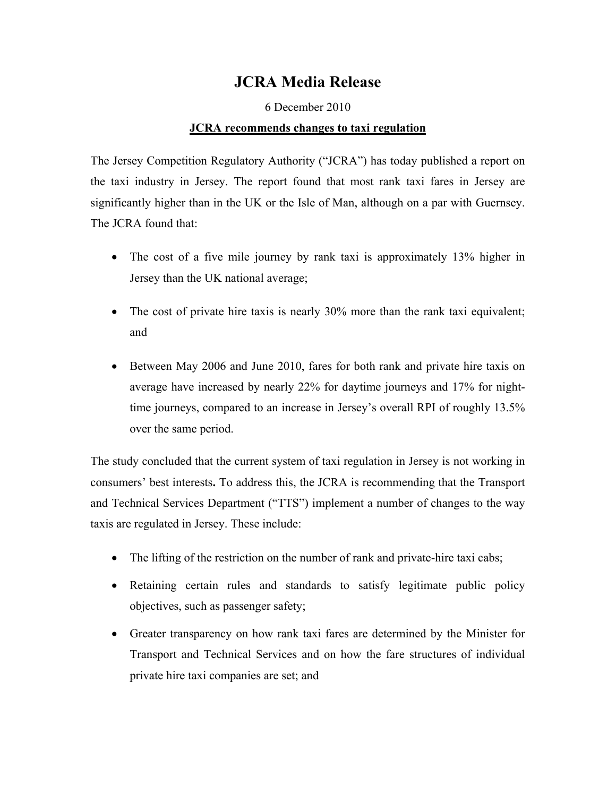## **JCRA Media Release**

## 6 December 2010

## **JCRA recommends changes to taxi regulation**

The Jersey Competition Regulatory Authority ("JCRA") has today published a report on the taxi industry in Jersey. The report found that most rank taxi fares in Jersey are significantly higher than in the UK or the Isle of Man, although on a par with Guernsey. The JCRA found that:

- The cost of a five mile journey by rank taxi is approximately 13% higher in Jersey than the UK national average;
- The cost of private hire taxis is nearly 30% more than the rank taxi equivalent; and
- Between May 2006 and June 2010, fares for both rank and private hire taxis on average have increased by nearly 22% for daytime journeys and 17% for nighttime journeys, compared to an increase in Jersey's overall RPI of roughly 13.5% over the same period.

The study concluded that the current system of taxi regulation in Jersey is not working in consumers' best interests**.** To address this, the JCRA is recommending that the Transport and Technical Services Department ("TTS") implement a number of changes to the way taxis are regulated in Jersey. These include:

- The lifting of the restriction on the number of rank and private-hire taxi cabs;
- Retaining certain rules and standards to satisfy legitimate public policy objectives, such as passenger safety;
- Greater transparency on how rank taxi fares are determined by the Minister for Transport and Technical Services and on how the fare structures of individual private hire taxi companies are set; and